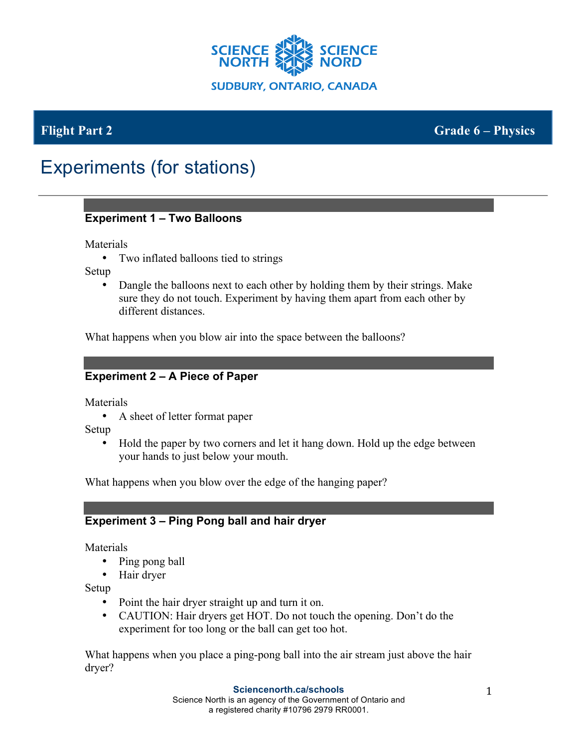

**Flight Part 2 Grade 6 – Physics**

# Experiments (for stations)

### **Experiment 1 – Two Balloons**

Materials

• Two inflated balloons tied to strings

Setup

• Dangle the balloons next to each other by holding them by their strings. Make sure they do not touch. Experiment by having them apart from each other by different distances.

What happens when you blow air into the space between the balloons?

# **Experiment 2 – A Piece of Paper**

Materials

• A sheet of letter format paper

Setup

• Hold the paper by two corners and let it hang down. Hold up the edge between your hands to just below your mouth.

What happens when you blow over the edge of the hanging paper?

# **Experiment 3 – Ping Pong ball and hair dryer**

Materials

- Ping pong ball
- Hair dryer

Setup

- Point the hair dryer straight up and turn it on.
- CAUTION: Hair dryers get HOT. Do not touch the opening. Don't do the experiment for too long or the ball can get too hot.

What happens when you place a ping-pong ball into the air stream just above the hair dryer?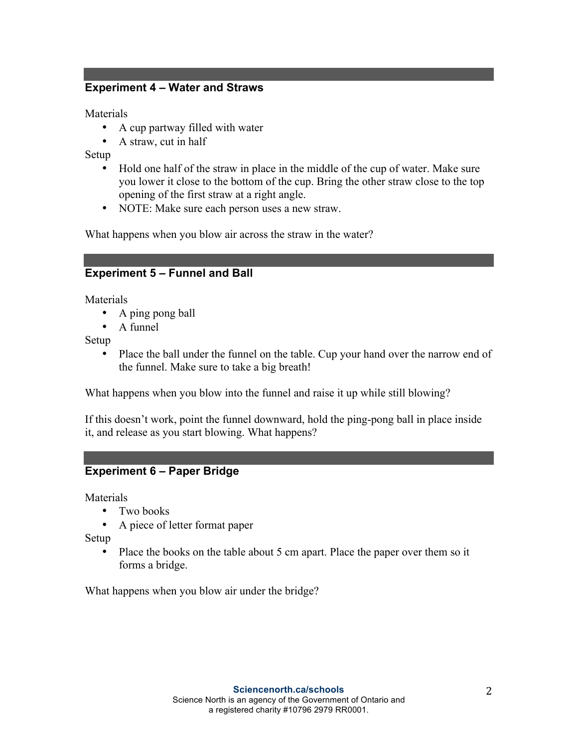### **Experiment 4 – Water and Straws**

Materials

- A cup partway filled with water
- A straw, cut in half

Setup

- Hold one half of the straw in place in the middle of the cup of water. Make sure you lower it close to the bottom of the cup. Bring the other straw close to the top opening of the first straw at a right angle.
- NOTE: Make sure each person uses a new straw.

What happens when you blow air across the straw in the water?

### **Experiment 5 – Funnel and Ball**

**Materials** 

- A ping pong ball
- A funnel

Setup

• Place the ball under the funnel on the table. Cup your hand over the narrow end of the funnel. Make sure to take a big breath!

What happens when you blow into the funnel and raise it up while still blowing?

If this doesn't work, point the funnel downward, hold the ping-pong ball in place inside it, and release as you start blowing. What happens?

#### **Experiment 6 – Paper Bridge**

Materials

- Two books
- A piece of letter format paper

Setup

• Place the books on the table about 5 cm apart. Place the paper over them so it forms a bridge.

What happens when you blow air under the bridge?